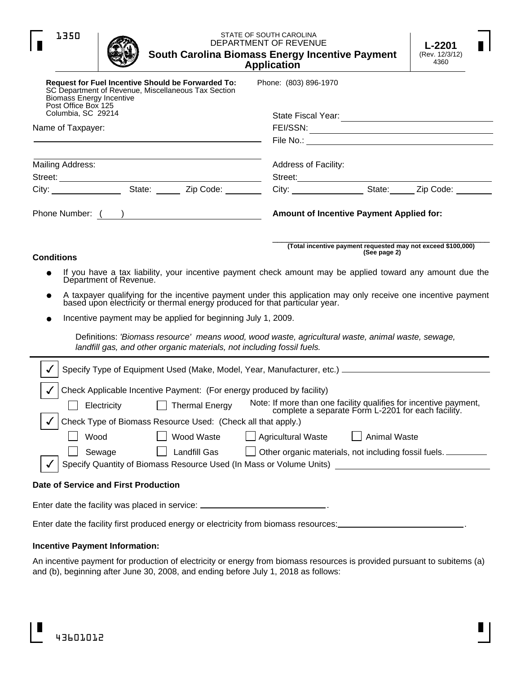| STATE OF SOUTH CAROLINA<br>1350<br>DEPARTMENT OF REVENUE<br>South Carolina Biomass Energy Incentive Payment<br><b>Application</b>                                                                                             | L-2201<br>(Rev. 12/3/12)<br>4360                |                     |                                                              |  |
|-------------------------------------------------------------------------------------------------------------------------------------------------------------------------------------------------------------------------------|-------------------------------------------------|---------------------|--------------------------------------------------------------|--|
| <b>Request for Fuel Incentive Should be Forwarded To:</b><br>SC Department of Revenue, Miscellaneous Tax Section<br><b>Biomass Energy Incentive</b><br>Post Office Box 125                                                    | Phone: (803) 896-1970                           |                     |                                                              |  |
| Columbia, SC 29214                                                                                                                                                                                                            |                                                 |                     |                                                              |  |
| Name of Taxpayer:                                                                                                                                                                                                             |                                                 |                     |                                                              |  |
| the control of the control of the control of the control of the control of the control of the control of the control of the control of the control of the control of the control of the control of the control of the control |                                                 |                     |                                                              |  |
| Mailing Address:                                                                                                                                                                                                              | Address of Facility:                            |                     |                                                              |  |
|                                                                                                                                                                                                                               |                                                 |                     |                                                              |  |
|                                                                                                                                                                                                                               |                                                 |                     |                                                              |  |
|                                                                                                                                                                                                                               | <b>Amount of Incentive Payment Applied for:</b> |                     |                                                              |  |
| <b>Conditions</b>                                                                                                                                                                                                             |                                                 | (See page 2)        | (Total incentive payment requested may not exceed \$100,000) |  |
| If you have a tax liability, your incentive payment check amount may be applied toward any amount due the                                                                                                                     |                                                 |                     |                                                              |  |
| Department of Revenue.                                                                                                                                                                                                        |                                                 |                     |                                                              |  |
| A taxpayer qualifying for the incentive payment under this application may only receive one incentive payment<br>based upon electricity or thermal energy produced for that particular year.                                  |                                                 |                     |                                                              |  |
| Incentive payment may be applied for beginning July 1, 2009.                                                                                                                                                                  |                                                 |                     |                                                              |  |
|                                                                                                                                                                                                                               |                                                 |                     |                                                              |  |
| Definitions: 'Biomass resource' means wood, wood waste, agricultural waste, animal waste, sewage,<br>landfill gas, and other organic materials, not including fossil fuels.                                                   |                                                 |                     |                                                              |  |
| Specify Type of Equipment Used (Make, Model, Year, Manufacturer, etc.) [2010] Specify Type of Equipment Used (Make, Model, Year, Manufacturer, etc.)                                                                          |                                                 |                     |                                                              |  |
|                                                                                                                                                                                                                               |                                                 |                     |                                                              |  |
| Check Applicable Incentive Payment: (For energy produced by facility)                                                                                                                                                         |                                                 |                     |                                                              |  |
| Electricity □ Thermal Energy Note: If more than one facility qualifies for incentive payment,<br>complete a separate Form L-2201 for each facility.                                                                           |                                                 |                     |                                                              |  |
| Check Type of Biomass Resource Used: (Check all that apply.)                                                                                                                                                                  |                                                 |                     |                                                              |  |
| Wood<br>Wood Waste                                                                                                                                                                                                            | $\Box$ Agricultural Waste                       | <b>Animal Waste</b> |                                                              |  |
| Landfill Gas<br>Other organic materials, not including fossil fuels. ________<br>Sewage                                                                                                                                       |                                                 |                     |                                                              |  |
| Specify Quantity of Biomass Resource Used (In Mass or Volume Units) [18] [2005] [2006] Specify Quantity of Biomass Resource Used (In Mass or Volume Units)                                                                    |                                                 |                     |                                                              |  |
| Date of Service and First Production                                                                                                                                                                                          |                                                 |                     |                                                              |  |
| Enter date the facility was placed in service: ____________________________.                                                                                                                                                  |                                                 |                     |                                                              |  |
|                                                                                                                                                                                                                               |                                                 |                     |                                                              |  |
|                                                                                                                                                                                                                               |                                                 |                     |                                                              |  |
| <b>Incentive Payment Information:</b>                                                                                                                                                                                         |                                                 |                     |                                                              |  |

An incentive payment for production of electricity or energy from biomass resources is provided pursuant to subitems (a) and (b), beginning after June 30, 2008, and ending before July 1, 2018 as follows: